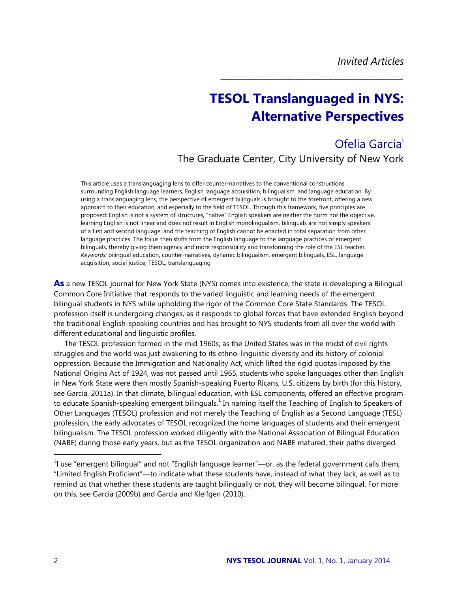# **TESOL Translanguaged in NYS: Alternative Perspectives**

*\_\_\_\_\_\_\_\_\_\_\_\_\_\_\_\_\_\_\_\_\_\_\_\_\_\_\_\_\_\_\_\_\_\_\_\_\_\_\_\_\_\_*

Ofelia García<sup>1</sup> The Graduate Center, City University of New York

This article uses a translanguaging lens to offer counter-narratives to the conventional constructions surrounding English language learners, English language acquisition, bilingualism, and language education. By using a translanguaging lens, the perspective of emergent bilinguals is brought to the forefront, offering a new approach to their education, and especially to the field of TESOL. Through this framework, five principles are proposed: English is not a system of structures, "native" English speakers are neither the norm nor the objective, learning English is not linear and does not result in English monolingualism, bilinguals are not simply speakers of a first and second language, and the teaching of English cannot be enacted in total separation from other language practices. The focus then shifts from the English language to the language practices of emergent bilinguals, thereby giving them agency and more responsibility and transforming the role of the ESL teacher. *Keywords:* bilingual education, counter-narratives, dynamic bilingualism, emergent bilinguals, ESL, language acquisition, social justice, TESOL, translanguaging

**As** a new TESOL journal for New York State (NYS) comes into existence, the state is developing a Bilingual Common Core Initiative that responds to the varied linguistic and learning needs of the emergent bilingual students in NYS while upholding the rigor of the Common Core State Standards. The TESOL profession itself is undergoing changes, as it responds to global forces that have extended English beyond the traditional English-speaking countries and has brought to NYS students from all over the world with different educational and linguistic profiles.

The TESOL profession formed in the mid 1960s, as the United States was in the midst of civil rights struggles and the world was just awakening to its ethno-linguistic diversity and its history of colonial oppression. Because the Immigration and Nationality Act, which lifted the rigid quotas imposed by the National Origins Act of 1924, was not passed until 1965, students who spoke languages other than English in New York State were then mostly Spanish-speaking Puerto Ricans, U.S. citizens by birth (for this history, see García, 2011a). In that climate, bilingual education, with ESL components, offered an effective program to educate Spanish-speaking emergent bilinguals. $^1$  In naming itself the Teaching of English to Speakers of Other Languages (TESOL) profession and not merely the Teaching of English as a Second Language (TESL) profession, the early advocates of TESOL recognized the home languages of students and their emergent bilingualism. The TESOL profession worked diligently with the National Association of Bilingual Education (NABE) during those early years, but as the TESOL organization and NABE matured, their paths diverged.

 $\overline{a}$ 

 $^{1}$ I use "emergent bilingual" and not "English language learner"—or, as the federal government calls them, "Limited English Proficient"—to indicate what these students have, instead of what they lack, as well as to remind us that whether these students are taught bilingually or not, they will become bilingual. For more on this, see García (2009b) and García and Kleifgen (2010).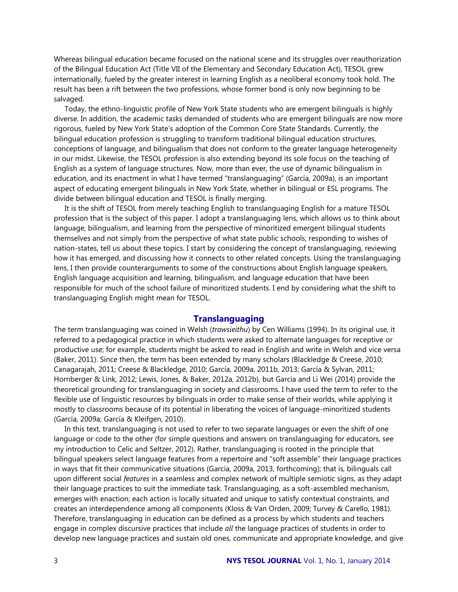Whereas bilingual education became focused on the national scene and its struggles over reauthorization of the Bilingual Education Act (Title VII of the Elementary and Secondary Education Act), TESOL grew internationally, fueled by the greater interest in learning English as a neoliberal economy took hold. The result has been a rift between the two professions, whose former bond is only now beginning to be salvaged.

Today, the ethno-linguistic profile of New York State students who are emergent bilinguals is highly diverse. In addition, the academic tasks demanded of students who are emergent bilinguals are now more rigorous, fueled by New York State's adoption of the Common Core State Standards. Currently, the bilingual education profession is struggling to transform traditional bilingual education structures, conceptions of language, and bilingualism that does not conform to the greater language heterogeneity in our midst. Likewise, the TESOL profession is also extending beyond its sole focus on the teaching of English as a system of language structures. Now, more than ever, the use of dynamic bilingualism in education, and its enactment in what I have termed "translanguaging" (García, 2009a), is an important aspect of educating emergent bilinguals in New York State, whether in bilingual or ESL programs. The divide between bilingual education and TESOL is finally merging.

It is the shift of TESOL from merely teaching English to translanguaging English for a mature TESOL profession that is the subject of this paper. I adopt a translanguaging lens, which allows us to think about language, bilingualism, and learning from the perspective of minoritized emergent bilingual students themselves and not simply from the perspective of what state public schools, responding to wishes of nation-states, tell us about these topics. I start by considering the concept of translanguaging, reviewing how it has emerged, and discussing how it connects to other related concepts. Using the translanguaging lens, I then provide counterarguments to some of the constructions about English language speakers, English language acquisition and learning, bilingualism, and language education that have been responsible for much of the school failure of minoritized students. I end by considering what the shift to translanguaging English might mean for TESOL.

## **Translanguaging**

The term translanguaging was coined in Welsh (*trawsieithu*) by Cen Williams (1994). In its original use, it referred to a pedagogical practice in which students were asked to alternate languages for receptive or productive use; for example, students might be asked to read in English and write in Welsh and vice versa (Baker, 2011). Since then, the term has been extended by many scholars (Blackledge & Creese, 2010; Canagarajah, 2011; Creese & Blackledge, 2010; García, 2009a, 2011b, 2013; García & Sylvan, 2011; Hornberger & Link, 2012; Lewis, Jones, & Baker, 2012a, 2012b), but García and Li Wei (2014) provide the theoretical grounding for translanguaging in society and classrooms. I have used the term to refer to the flexible use of linguistic resources by bilinguals in order to make sense of their worlds, while applying it mostly to classrooms because of its potential in liberating the voices of language-minoritized students (García, 2009a; García & Kleifgen, 2010).

In this text, translanguaging is not used to refer to two separate languages or even the shift of one language or code to the other (for simple questions and answers on translanguaging for educators, see my introduction to Celic and Seltzer, 2012). Rather, translanguaging is rooted in the principle that bilingual speakers select language features from a repertoire and "soft assemble" their language practices in ways that fit their communicative situations (García, 2009a, 2013, forthcoming); that is, bilinguals call upon different social *features* in a seamless and complex network of multiple semiotic signs, as they adapt their language practices to suit the immediate task. Translanguaging, as a soft-assembled mechanism, emerges with enaction; each action is locally situated and unique to satisfy contextual constraints, and creates an interdependence among all components (Kloss & Van Orden, 2009; Turvey & Carello, 1981). Therefore, translanguaging in education can be defined as a process by which students and teachers engage in complex discursive practices that include *all* the language practices of students in order to develop new language practices and sustain old ones, communicate and appropriate knowledge, and give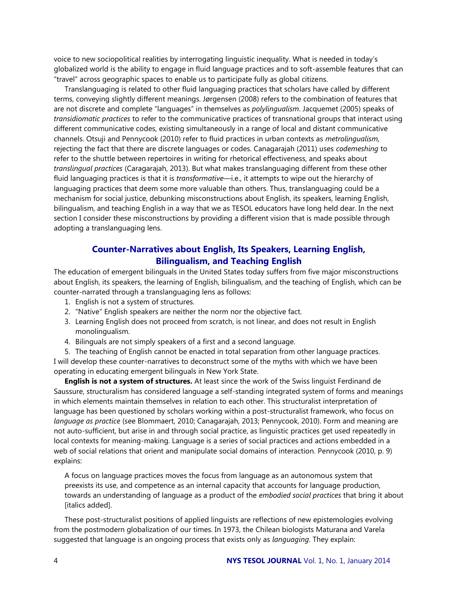voice to new sociopolitical realities by interrogating linguistic inequality. What is needed in today's globalized world is the ability to engage in fluid language practices and to soft-assemble features that can "travel" across geographic spaces to enable us to participate fully as global citizens.

Translanguaging is related to other fluid languaging practices that scholars have called by different terms, conveying slightly different meanings. Jørgensen (2008) refers to the combination of features that are not discrete and complete "languages" in themselves as *polylingualism*. Jacquemet (2005) speaks of *transidiomatic practices* to refer to the communicative practices of transnational groups that interact using different communicative codes, existing simultaneously in a range of local and distant communicative channels. Otsuji and Pennycook (2010) refer to fluid practices in urban contexts as *metrolingualism,* rejecting the fact that there are discrete languages or codes. Canagarajah (2011) uses *codemeshing* to refer to the shuttle between repertoires in writing for rhetorical effectiveness, and speaks about *translingual practices* (Caragarajah, 2013). But what makes translanguaging different from these other fluid languaging practices is that it is *transformative—*i.e., it attempts to wipe out the hierarchy of languaging practices that deem some more valuable than others. Thus, translanguaging could be a mechanism for social justice, debunking misconstructions about English, its speakers, learning English, bilingualism, and teaching English in a way that we as TESOL educators have long held dear. In the next section I consider these misconstructions by providing a different vision that is made possible through adopting a translanguaging lens.

# **Counter-Narratives about English, Its Speakers, Learning English, Bilingualism, and Teaching English**

The education of emergent bilinguals in the United States today suffers from five major misconstructions about English, its speakers, the learning of English, bilingualism, and the teaching of English, which can be counter-narrated through a translanguaging lens as follows:

- 1. English is not a system of structures.
- 2. "Native" English speakers are neither the norm nor the objective fact.
- 3. Learning English does not proceed from scratch, is not linear, and does not result in English monolingualism.
- 4. Bilinguals are not simply speakers of a first and a second language.

5. The teaching of English cannot be enacted in total separation from other language practices. I will develop these counter-narratives to deconstruct some of the myths with which we have been operating in educating emergent bilinguals in New York State.

**English is not a system of structures.** At least since the work of the Swiss linguist Ferdinand de Saussure, structuralism has considered language a self-standing integrated system of forms and meanings in which elements maintain themselves in relation to each other. This structuralist interpretation of language has been questioned by scholars working within a post-structuralist framework, who focus on *language as practice* (see Blommaert, 2010; Canagarajah, 2013; Pennycook, 2010). Form and meaning are not auto-sufficient, but arise in and through social practice, as linguistic practices get used repeatedly in local contexts for meaning-making. Language is a series of social practices and actions embedded in a web of social relations that orient and manipulate social domains of interaction. Pennycook (2010, p. 9) explains:

A focus on language practices moves the focus from language as an autonomous system that preexists its use, and competence as an internal capacity that accounts for language production, towards an understanding of language as a product of the *embodied social practices* that bring it about [italics added].

These post-structuralist positions of applied linguists are reflections of new epistemologies evolving from the postmodern globalization of our times. In 1973, the Chilean biologists Maturana and Varela suggested that language is an ongoing process that exists only as *languaging*. They explain: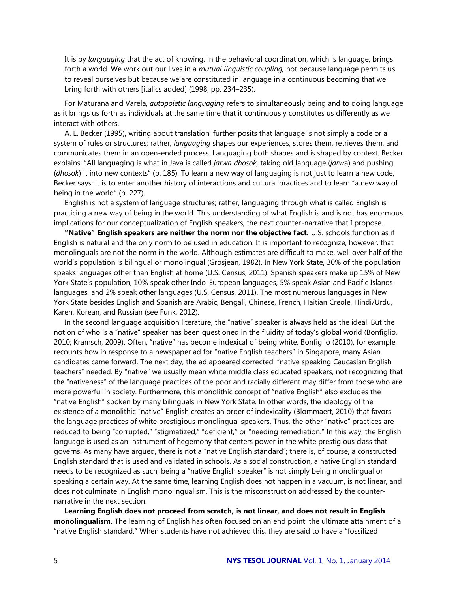It is by *languaging* that the act of knowing, in the behavioral coordination, which is language, brings forth a world. We work out our lives in a *mutual linguistic coupling,* not because language permits us to reveal ourselves but because we are constituted in language in a continuous becoming that we bring forth with others [italics added] (1998, pp. 234–235).

For Maturana and Varela, *autopoietic languaging* refers to simultaneously being and to doing language as it brings us forth as individuals at the same time that it continuously constitutes us differently as we interact with others.

A. L. Becker (1995), writing about translation, further posits that language is not simply a code or a system of rules or structures; rather, *languaging* shapes our experiences, stores them, retrieves them, and communicates them in an open-ended process. Languaging both shapes and is shaped by context. Becker explains: "All languaging is what in Java is called *jarwa dhosok,* taking old language (*jarw*a) and pushing (*dhosok*) it into new contexts" (p. 185). To learn a new way of languaging is not just to learn a new code, Becker says; it is to enter another history of interactions and cultural practices and to learn "a new way of being in the world" (p. 227).

English is not a system of language structures; rather, languaging through what is called English is practicing a new way of being in the world. This understanding of what English is and is not has enormous implications for our conceptualization of English speakers, the next counter-narrative that I propose.

**"Native" English speakers are neither the norm nor the objective fact.** U.S. schools function as if English is natural and the only norm to be used in education. It is important to recognize, however, that monolinguals are not the norm in the world. Although estimates are difficult to make, well over half of the world's population is bilingual or monolingual (Grosjean, 1982). In New York State, 30% of the population speaks languages other than English at home (U.S. Census, 2011). Spanish speakers make up 15% of New York State's population, 10% speak other Indo-European languages, 5% speak Asian and Pacific Islands languages, and 2% speak other languages (U.S. Census, 2011). The most numerous languages in New York State besides English and Spanish are Arabic, Bengali, Chinese, French, Haitian Creole, Hindi/Urdu, Karen, Korean, and Russian (see Funk, 2012).

In the second language acquisition literature, the "native" speaker is always held as the ideal. But the notion of who is a "native" speaker has been questioned in the fluidity of today's global world (Bonfiglio, 2010; Kramsch, 2009). Often, "native" has become indexical of being white. Bonfiglio (2010), for example, recounts how in response to a newspaper ad for "native English teachers" in Singapore, many Asian candidates came forward. The next day, the ad appeared corrected: "native speaking Caucasian English teachers" needed. By "native" we usually mean white middle class educated speakers, not recognizing that the "nativeness" of the language practices of the poor and racially different may differ from those who are more powerful in society. Furthermore, this monolithic concept of "native English" also excludes the "native English" spoken by many bilinguals in New York State. In other words, the ideology of the existence of a monolithic "native" English creates an order of indexicality (Blommaert, 2010) that favors the language practices of white prestigious monolingual speakers. Thus, the other "native" practices are reduced to being "corrupted," "stigmatized," "deficient," or "needing remediation." In this way, the English language is used as an instrument of hegemony that centers power in the white prestigious class that governs. As many have argued, there is not a "native English standard"; there is, of course, a constructed English standard that is used and validated in schools. As a social construction, a native English standard needs to be recognized as such; being a "native English speaker" is not simply being monolingual or speaking a certain way. At the same time, learning English does not happen in a vacuum, is not linear, and does not culminate in English monolingualism. This is the misconstruction addressed by the counternarrative in the next section.

**Learning English does not proceed from scratch, is not linear, and does not result in English monolingualism.** The learning of English has often focused on an end point: the ultimate attainment of a "native English standard." When students have not achieved this, they are said to have a "fossilized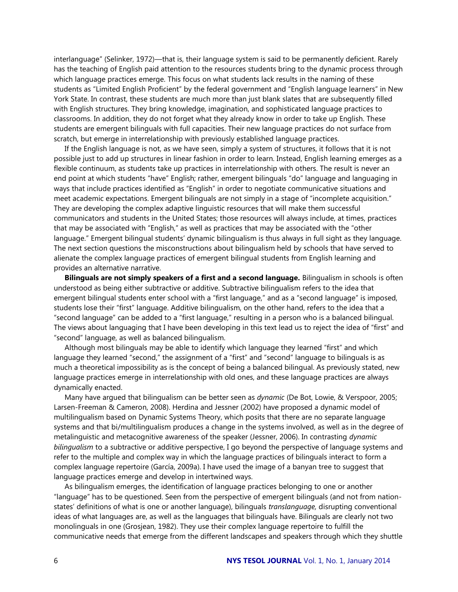interlanguage" (Selinker, 1972)—that is, their language system is said to be permanently deficient. Rarely has the teaching of English paid attention to the resources students bring to the dynamic process through which language practices emerge. This focus on what students lack results in the naming of these students as "Limited English Proficient" by the federal government and "English language learners" in New York State. In contrast, these students are much more than just blank slates that are subsequently filled with English structures. They bring knowledge, imagination, and sophisticated language practices to classrooms. In addition, they do not forget what they already know in order to take up English. These students are emergent bilinguals with full capacities. Their new language practices do not surface from scratch, but emerge in interrelationship with previously established language practices.

If the English language is not, as we have seen, simply a system of structures, it follows that it is not possible just to add up structures in linear fashion in order to learn. Instead, English learning emerges as a flexible continuum, as students take up practices in interrelationship with others. The result is never an end point at which students "have" English; rather, emergent bilinguals "do" language and languaging in ways that include practices identified as "English" in order to negotiate communicative situations and meet academic expectations. Emergent bilinguals are not simply in a stage of "incomplete acquisition." They are developing the complex adaptive linguistic resources that will make them successful communicators and students in the United States; those resources will always include, at times, practices that may be associated with "English," as well as practices that may be associated with the "other language." Emergent bilingual students' dynamic bilingualism is thus always in full sight as they language. The next section questions the misconstructions about bilingualism held by schools that have served to alienate the complex language practices of emergent bilingual students from English learning and provides an alternative narrative.

**Bilinguals are not simply speakers of a first and a second language.** Bilingualism in schools is often understood as being either subtractive or additive. Subtractive bilingualism refers to the idea that emergent bilingual students enter school with a "first language," and as a "second language" is imposed, students lose their "first" language. Additive bilingualism, on the other hand, refers to the idea that a "second language" can be added to a "first language," resulting in a person who is a balanced bilingual. The views about languaging that I have been developing in this text lead us to reject the idea of "first" and "second" language, as well as balanced bilingualism.

Although most bilinguals may be able to identify which language they learned "first" and which language they learned "second," the assignment of a "first" and "second" language to bilinguals is as much a theoretical impossibility as is the concept of being a balanced bilingual. As previously stated, new language practices emerge in interrelationship with old ones, and these language practices are always dynamically enacted.

Many have argued that bilingualism can be better seen as *dynamic* (De Bot, Lowie, & Verspoor, 2005; Larsen-Freeman & Cameron, 2008). Herdina and Jessner (2002) have proposed a dynamic model of multilingualism based on Dynamic Systems Theory, which posits that there are no separate language systems and that bi/multilingualism produces a change in the systems involved, as well as in the degree of metalinguistic and metacognitive awareness of the speaker (Jessner, 2006). In contrasting *dynamic bilingualism* to a subtractive or additive perspective, I go beyond the perspective of language systems and refer to the multiple and complex way in which the language practices of bilinguals interact to form a complex language repertoire (García, 2009a). I have used the image of a banyan tree to suggest that language practices emerge and develop in intertwined ways.

As bilingualism emerges, the identification of language practices belonging to one or another "language" has to be questioned. Seen from the perspective of emergent bilinguals (and not from nationstates' definitions of what is one or another language), bilinguals *translanguage,* disrupting conventional ideas of what languages are, as well as the languages that bilinguals have. Bilinguals are clearly not two monolinguals in one (Grosjean, 1982). They use their complex language repertoire to fulfill the communicative needs that emerge from the different landscapes and speakers through which they shuttle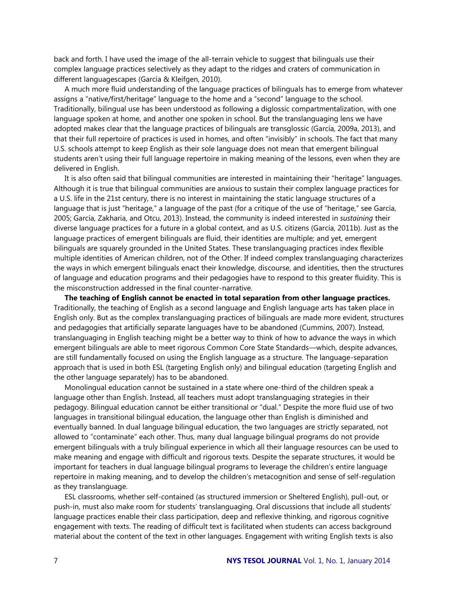back and forth. I have used the image of the all-terrain vehicle to suggest that bilinguals use their complex language practices selectively as they adapt to the ridges and craters of communication in different languagescapes (García & Kleifgen, 2010).

A much more fluid understanding of the language practices of bilinguals has to emerge from whatever assigns a "native/first/heritage" language to the home and a "second" language to the school. Traditionally, bilingual use has been understood as following a diglossic compartmentalization, with one language spoken at home, and another one spoken in school. But the translanguaging lens we have adopted makes clear that the language practices of bilinguals are transglossic (García, 2009a, 2013), and that their full repertoire of practices is used in homes, and often "invisibly" in schools. The fact that many U.S. schools attempt to keep English as their sole language does not mean that emergent bilingual students aren't using their full language repertoire in making meaning of the lessons, even when they are delivered in English.

It is also often said that bilingual communities are interested in maintaining their "heritage" languages. Although it is true that bilingual communities are anxious to sustain their complex language practices for a U.S. life in the 21st century, there is no interest in maintaining the static language structures of a language that is just "heritage," a language of the past (for a critique of the use of "heritage," see García, 2005; García, Zakharia, and Otcu, 2013). Instead, the community is indeed interested in *sustaining* their diverse language practices for a future in a global context, and as U.S. citizens (García, 2011b). Just as the language practices of emergent bilinguals are fluid, their identities are multiple; and yet, emergent bilinguals are squarely grounded in the United States. These translanguaging practices index flexible multiple identities of American children, not of the Other. If indeed complex translanguaging characterizes the ways in which emergent bilinguals enact their knowledge, discourse, and identities, then the structures of language and education programs and their pedagogies have to respond to this greater fluidity. This is the misconstruction addressed in the final counter-narrative.

**The teaching of English cannot be enacted in total separation from other language practices.** Traditionally, the teaching of English as a second language and English language arts has taken place in English only. But as the complex translanguaging practices of bilinguals are made more evident, structures and pedagogies that artificially separate languages have to be abandoned (Cummins, 2007). Instead, translanguaging in English teaching might be a better way to think of how to advance the ways in which emergent bilinguals are able to meet rigorous Common Core State Standards—which, despite advances, are still fundamentally focused on using the English language as a structure. The language-separation approach that is used in both ESL (targeting English only) and bilingual education (targeting English and the other language separately) has to be abandoned.

Monolingual education cannot be sustained in a state where one-third of the children speak a language other than English. Instead, all teachers must adopt translanguaging strategies in their pedagogy. Bilingual education cannot be either transitional or "dual." Despite the more fluid use of two languages in transitional bilingual education, the language other than English is diminished and eventually banned. In dual language bilingual education, the two languages are strictly separated, not allowed to "contaminate" each other. Thus, many dual language bilingual programs do not provide emergent bilinguals with a truly bilingual experience in which all their language resources can be used to make meaning and engage with difficult and rigorous texts. Despite the separate structures, it would be important for teachers in dual language bilingual programs to leverage the children's entire language repertoire in making meaning, and to develop the children's metacognition and sense of self-regulation as they translanguage.

ESL classrooms, whether self-contained (as structured immersion or Sheltered English), pull-out, or push-in, must also make room for students' translanguaging. Oral discussions that include all students' language practices enable their class participation, deep and reflexive thinking, and rigorous cognitive engagement with texts. The reading of difficult text is facilitated when students can access background material about the content of the text in other languages. Engagement with writing English texts is also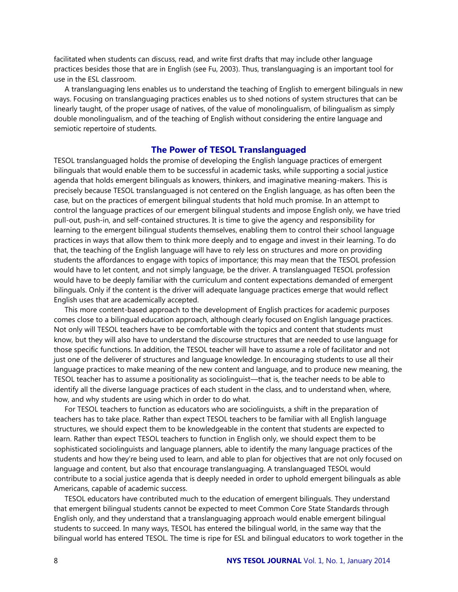facilitated when students can discuss, read, and write first drafts that may include other language practices besides those that are in English (see Fu, 2003). Thus, translanguaging is an important tool for use in the ESL classroom.

A translanguaging lens enables us to understand the teaching of English to emergent bilinguals in new ways. Focusing on translanguaging practices enables us to shed notions of system structures that can be linearly taught, of the proper usage of natives, of the value of monolingualism, of bilingualism as simply double monolingualism, and of the teaching of English without considering the entire language and semiotic repertoire of students.

#### **The Power of TESOL Translanguaged**

TESOL translanguaged holds the promise of developing the English language practices of emergent bilinguals that would enable them to be successful in academic tasks, while supporting a social justice agenda that holds emergent bilinguals as knowers, thinkers, and imaginative meaning-makers. This is precisely because TESOL translanguaged is not centered on the English language, as has often been the case, but on the practices of emergent bilingual students that hold much promise. In an attempt to control the language practices of our emergent bilingual students and impose English only, we have tried pull-out, push-in, and self-contained structures. It is time to give the agency and responsibility for learning to the emergent bilingual students themselves, enabling them to control their school language practices in ways that allow them to think more deeply and to engage and invest in their learning. To do that, the teaching of the English language will have to rely less on structures and more on providing students the affordances to engage with topics of importance; this may mean that the TESOL profession would have to let content, and not simply language, be the driver. A translanguaged TESOL profession would have to be deeply familiar with the curriculum and content expectations demanded of emergent bilinguals. Only if the content is the driver will adequate language practices emerge that would reflect English uses that are academically accepted.

This more content-based approach to the development of English practices for academic purposes comes close to a bilingual education approach, although clearly focused on English language practices. Not only will TESOL teachers have to be comfortable with the topics and content that students must know, but they will also have to understand the discourse structures that are needed to use language for those specific functions. In addition, the TESOL teacher will have to assume a role of facilitator and not just one of the deliverer of structures and language knowledge. In encouraging students to use all their language practices to make meaning of the new content and language, and to produce new meaning, the TESOL teacher has to assume a positionality as sociolinguist—that is, the teacher needs to be able to identify all the diverse language practices of each student in the class, and to understand when, where, how, and why students are using which in order to do what.

For TESOL teachers to function as educators who are sociolinguists, a shift in the preparation of teachers has to take place. Rather than expect TESOL teachers to be familiar with all English language structures, we should expect them to be knowledgeable in the content that students are expected to learn. Rather than expect TESOL teachers to function in English only, we should expect them to be sophisticated sociolinguists and language planners, able to identify the many language practices of the students and how they're being used to learn, and able to plan for objectives that are not only focused on language and content, but also that encourage translanguaging. A translanguaged TESOL would contribute to a social justice agenda that is deeply needed in order to uphold emergent bilinguals as able Americans, capable of academic success.

TESOL educators have contributed much to the education of emergent bilinguals. They understand that emergent bilingual students cannot be expected to meet Common Core State Standards through English only, and they understand that a translanguaging approach would enable emergent bilingual students to succeed. In many ways, TESOL has entered the bilingual world, in the same way that the bilingual world has entered TESOL. The time is ripe for ESL and bilingual educators to work together in the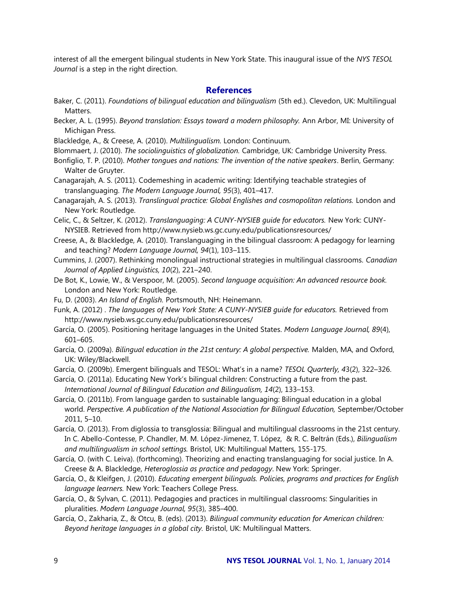interest of all the emergent bilingual students in New York State. This inaugural issue of the *NYS TESOL Journal* is a step in the right direction.

## **References**

- Baker, C. (2011). *Foundations of bilingual education and bilingualism* (5th ed.). Clevedon, UK: Multilingual Matters.
- Becker, A. L. (1995). *Beyond translation: Essays toward a modern philosophy.* Ann Arbor, MI: University of Michigan Press.
- Blackledge, A., & Creese, A. (2010). *Multilingualism.* London: Continuum.
- Blommaert, J. (2010). *The sociolinguistics of globalization.* Cambridge, UK: Cambridge University Press.
- Bonfiglio, T. P. (2010). *Mother tongues and nations: The invention of the native speakers*. Berlin, Germany: Walter de Gruyter.
- Canagarajah, A. S. (2011). Codemeshing in academic writing: Identifying teachable strategies of translanguaging. *The Modern Language Journal, 95*(3), 401–417.
- Canagarajah, A. S. (2013). *Translingual practice: Global Englishes and cosmopolitan relations.* London and New York: Routledge.
- Celic, C., & Seltzer, K. (2012). *Translanguaging: A CUNY-NYSIEB guide for educators.* New York: CUNY-NYSIEB. Retrieved from http://www.nysieb.ws.gc.cuny.edu/publicationsresources/
- Creese, A., & Blackledge, A. (2010). Translanguaging in the bilingual classroom: A pedagogy for learning and teaching? *Modern Language Journal, 94*(1), 103–115.
- Cummins, J. (2007). Rethinking monolingual instructional strategies in multilingual classrooms. *Canadian Journal of Applied Linguistics, 10*(2), 221–240.
- De Bot, K., Lowie, W., & Verspoor, M. (2005). *Second language acquisition: An advanced resource book.*  London and New York: Routledge.
- Fu, D. (2003). *An Island of English.* Portsmouth, NH: Heinemann.
- Funk, A. (2012) . *The languages of New York State: A CUNY-NYSIEB guide for educators.* Retrieved from http://www.nysieb.ws.gc.cuny.edu/publicationsresources/
- García, O. (2005). Positioning heritage languages in the United States. *Modern Language Journal, 89*(4), 601–605.
- García, O. (2009a). *Bilingual education in the 21st century: A global perspective.* Malden, MA, and Oxford, UK: Wiley/Blackwell.
- García, O. (2009b). Emergent bilinguals and TESOL: What's in a name? *TESOL Quarterly, 4*3(2), 322–326.
- García, O. (2011a). Educating New York's bilingual children: Constructing a future from the past. *International Journal of Bilingual Education and Bilingualism, 14*(2), 133–153.
- García, O. (2011b). From language garden to sustainable languaging: Bilingual education in a global world. Perspective. A publication of the National Association for Bilingual Education, September/October 2011, 5–10.
- García, O. (2013). From diglossia to transglossia: Bilingual and multilingual classrooms in the 21st century. In C. Abello-Contesse, P. Chandler, M. M. López-Jimenez, T. López, & R. C. Beltrán (Eds.), *Bilingualism and multilingualism in school settings.* Bristol, UK: Multilingual Matters, 155-175.
- García, O. (with C. Leiva). (forthcoming). Theorizing and enacting translanguaging for social justice. In A. Creese & A. Blackledge, *Heteroglossia as practice and pedagogy*. New York: Springer.
- García, O., & Kleifgen, J. (2010). *Educating emergent bilinguals. Policies, programs and practices for English language learners.* New York: Teachers College Press.
- García, O., & Sylvan, C. (2011). Pedagogies and practices in multilingual classrooms: Singularities in pluralities. *Modern Language Journal, 95*(3), 385–400.
- García, O., Zakharia, Z., & Otcu, B. (eds). (2013). *Bilingual community education for American children: Beyond heritage languages in a global city.* Bristol, UK: Multilingual Matters.